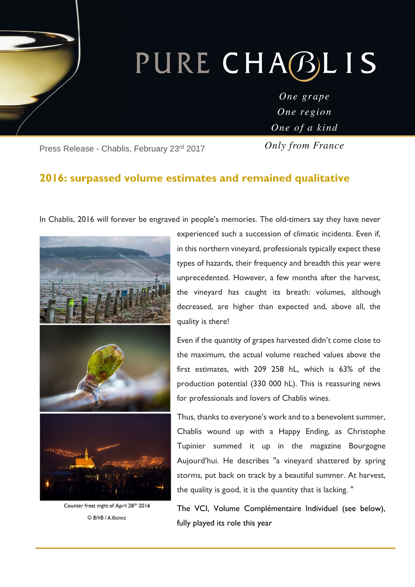# PURE CHABLIS

One grape One region One of a kind

Press Release - Chablis, February 23rd 2017

ī

Only from France

## **2016: surpassed volume estimates and remained qualitative**

In Chablis, 2016 will forever be engraved in people's memories. The old-timers say they have never



Counter frost night of April 28th 2016 © BIVB / A Ibanez

experienced such a succession of climatic incidents. Even if, in this northern vineyard, professionals typically expect these types of hazards, their frequency and breadth this year were unprecedented. However, a few months after the harvest, the vineyard has caught its breath: volumes, although decreased, are higher than expected and, above all, the quality is there!

Even if the quantity of grapes harvested didn't come close to the maximum, the actual volume reached values above the first estimates, with 209 258 hL, which is 63% of the production potential (330 000 hL). This is reassuring news for professionals and lovers of Chablis wines.

Thus, thanks to everyone's work and to a benevolent summer, Chablis wound up with a Happy Ending, as Christophe Tupinier summed it up in the magazine Bourgogne Aujourd'hui. He describes "a vineyard shattered by spring storms, put back on track by a beautiful summer. At harvest, the quality is good, it is the quantity that is lacking. "

The VCI, Volume Complémentaire Individuel (see below), fully played its role this year